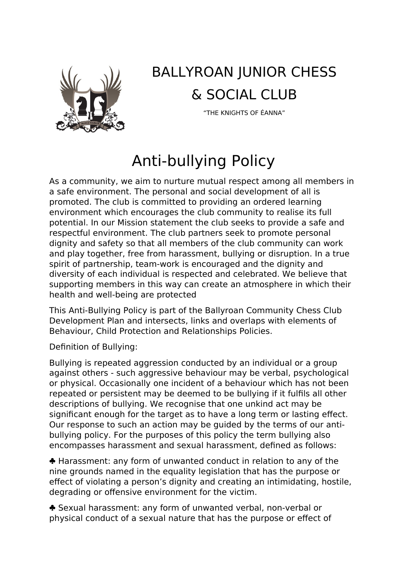

## BALLYROAN JUNIOR CHESS & SOCIAL CLUB

"THE KNIGHTS OF ÉANNA"

## Anti-bullying Policy

As a community, we aim to nurture mutual respect among all members in a safe environment. The personal and social development of all is promoted. The club is committed to providing an ordered learning environment which encourages the club community to realise its full potential. In our Mission statement the club seeks to provide a safe and respectful environment. The club partners seek to promote personal dignity and safety so that all members of the club community can work and play together, free from harassment, bullying or disruption. In a true spirit of partnership, team-work is encouraged and the dignity and diversity of each individual is respected and celebrated. We believe that supporting members in this way can create an atmosphere in which their health and well-being are protected

This Anti-Bullying Policy is part of the Ballyroan Community Chess Club Development Plan and intersects, links and overlaps with elements of Behaviour, Child Protection and Relationships Policies.

Definition of Bullying:

Bullying is repeated aggression conducted by an individual or a group against others - such aggressive behaviour may be verbal, psychological or physical. Occasionally one incident of a behaviour which has not been repeated or persistent may be deemed to be bullying if it fulfils all other descriptions of bullying. We recognise that one unkind act may be significant enough for the target as to have a long term or lasting effect. Our response to such an action may be guided by the terms of our antibullying policy. For the purposes of this policy the term bullying also encompasses harassment and sexual harassment, defined as follows:

 Harassment: any form of unwanted conduct in relation to any of the nine grounds named in the equality legislation that has the purpose or effect of violating a person's dignity and creating an intimidating, hostile, degrading or offensive environment for the victim.

 Sexual harassment: any form of unwanted verbal, non-verbal or physical conduct of a sexual nature that has the purpose or effect of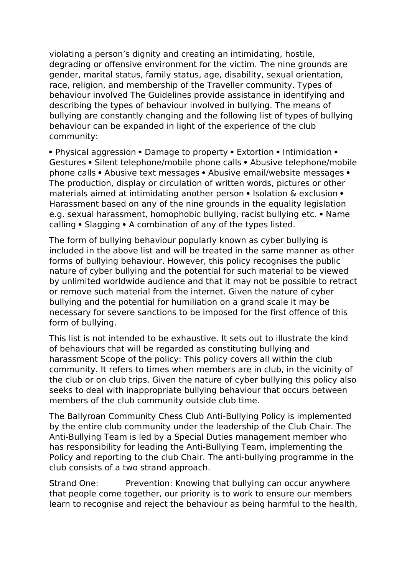violating a person's dignity and creating an intimidating, hostile, degrading or offensive environment for the victim. The nine grounds are gender, marital status, family status, age, disability, sexual orientation, race, religion, and membership of the Traveller community. Types of behaviour involved The Guidelines provide assistance in identifying and describing the types of behaviour involved in bullying. The means of bullying are constantly changing and the following list of types of bullying behaviour can be expanded in light of the experience of the club community:

• Physical aggression • Damage to property • Extortion • Intimidation • Gestures • Silent telephone/mobile phone calls • Abusive telephone/mobile phone calls • Abusive text messages • Abusive email/website messages • The production, display or circulation of written words, pictures or other materials aimed at intimidating another person • Isolation & exclusion • Harassment based on any of the nine grounds in the equality legislation e.g. sexual harassment, homophobic bullying, racist bullying etc. • Name calling • Slagging • A combination of any of the types listed.

The form of bullying behaviour popularly known as cyber bullying is included in the above list and will be treated in the same manner as other forms of bullying behaviour. However, this policy recognises the public nature of cyber bullying and the potential for such material to be viewed by unlimited worldwide audience and that it may not be possible to retract or remove such material from the internet. Given the nature of cyber bullying and the potential for humiliation on a grand scale it may be necessary for severe sanctions to be imposed for the first offence of this form of bullying.

This list is not intended to be exhaustive. It sets out to illustrate the kind of behaviours that will be regarded as constituting bullying and harassment Scope of the policy: This policy covers all within the club community. It refers to times when members are in club, in the vicinity of the club or on club trips. Given the nature of cyber bullying this policy also seeks to deal with inappropriate bullying behaviour that occurs between members of the club community outside club time.

The Ballyroan Community Chess Club Anti-Bullying Policy is implemented by the entire club community under the leadership of the Club Chair. The Anti-Bullying Team is led by a Special Duties management member who has responsibility for leading the Anti-Bullying Team, implementing the Policy and reporting to the club Chair. The anti-bullying programme in the club consists of a two strand approach.

Strand One: Prevention: Knowing that bullying can occur anywhere that people come together, our priority is to work to ensure our members learn to recognise and reject the behaviour as being harmful to the health,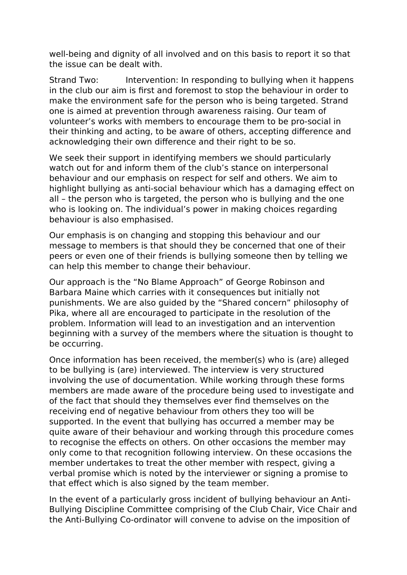well-being and dignity of all involved and on this basis to report it so that the issue can be dealt with.

Strand Two: Intervention: In responding to bullying when it happens in the club our aim is first and foremost to stop the behaviour in order to make the environment safe for the person who is being targeted. Strand one is aimed at prevention through awareness raising. Our team of volunteer's works with members to encourage them to be pro-social in their thinking and acting, to be aware of others, accepting difference and acknowledging their own difference and their right to be so.

We seek their support in identifying members we should particularly watch out for and inform them of the club's stance on interpersonal behaviour and our emphasis on respect for self and others. We aim to highlight bullying as anti-social behaviour which has a damaging effect on all – the person who is targeted, the person who is bullying and the one who is looking on. The individual's power in making choices regarding behaviour is also emphasised.

Our emphasis is on changing and stopping this behaviour and our message to members is that should they be concerned that one of their peers or even one of their friends is bullying someone then by telling we can help this member to change their behaviour.

Our approach is the "No Blame Approach" of George Robinson and Barbara Maine which carries with it consequences but initially not punishments. We are also guided by the "Shared concern" philosophy of Pika, where all are encouraged to participate in the resolution of the problem. Information will lead to an investigation and an intervention beginning with a survey of the members where the situation is thought to be occurring.

Once information has been received, the member(s) who is (are) alleged to be bullying is (are) interviewed. The interview is very structured involving the use of documentation. While working through these forms members are made aware of the procedure being used to investigate and of the fact that should they themselves ever find themselves on the receiving end of negative behaviour from others they too will be supported. In the event that bullying has occurred a member may be quite aware of their behaviour and working through this procedure comes to recognise the effects on others. On other occasions the member may only come to that recognition following interview. On these occasions the member undertakes to treat the other member with respect, giving a verbal promise which is noted by the interviewer or signing a promise to that effect which is also signed by the team member.

In the event of a particularly gross incident of bullying behaviour an Anti-Bullying Discipline Committee comprising of the Club Chair, Vice Chair and the Anti-Bullying Co-ordinator will convene to advise on the imposition of